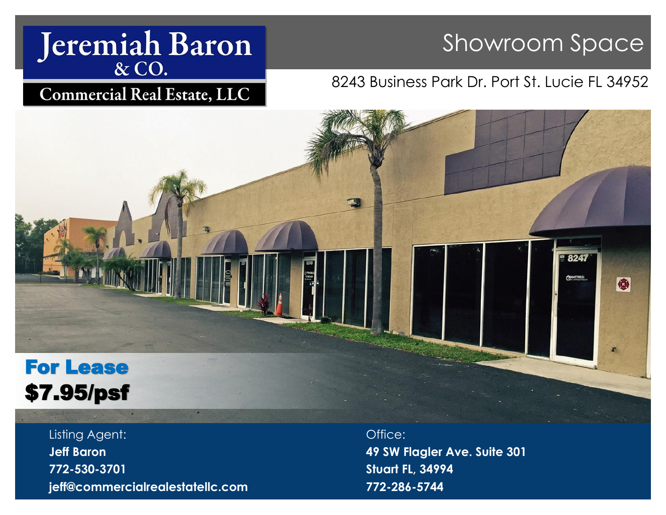# Jeremiah Baron

# Showroom Space

# **Commercial Real Estate, LLC**

# 8243 Business Park Dr. Port St. Lucie FL 34952



Listing Agent: **Jeff Baron 772-530-3701 jeff@commercialrealestatellc.com** Office: **49 SW Flagler Ave. Suite 301 Stuart FL, 34994 772-286-5744**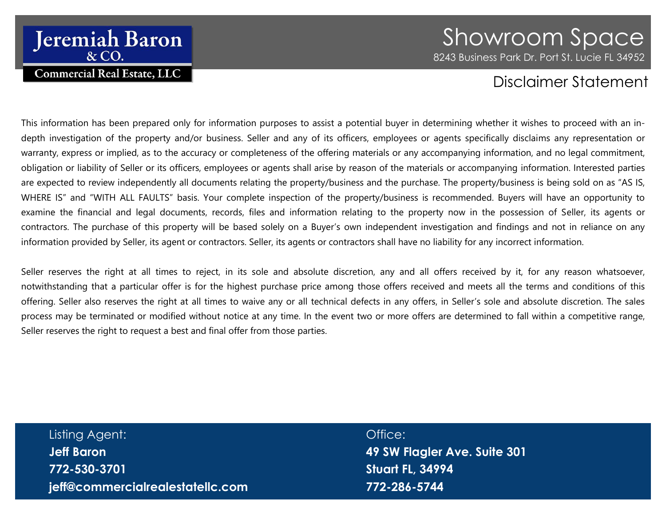# **Jeremiah Baron & CO. Commercial Real Estate, LLC**

# Showroom Space 8243 Business Park Dr. Port St. Lucie FL 34952

# Disclaimer Statement

This information has been prepared only for information purposes to assist a potential buyer in determining whether it wishes to proceed with an indepth investigation of the property and/or business. Seller and any of its officers, employees or agents specifically disclaims any representation or warranty, express or implied, as to the accuracy or completeness of the offering materials or any accompanying information, and no legal commitment, obligation or liability of Seller or its officers, employees or agents shall arise by reason of the materials or accompanying information. Interested parties are expected to review independently all documents relating the property/business and the purchase. The property/business is being sold on as "AS IS, WHERE IS" and "WITH ALL FAULTS" basis. Your complete inspection of the property/business is recommended. Buyers will have an opportunity to examine the financial and legal documents, records, files and information relating to the property now in the possession of Seller, its agents or contractors. The purchase of this property will be based solely on a Buyer's own independent investigation and findings and not in reliance on any information provided by Seller, its agent or contractors. Seller, its agents or contractors shall have no liability for any incorrect information.

Seller reserves the right at all times to reject, in its sole and absolute discretion, any and all offers received by it, for any reason whatsoever, notwithstanding that a particular offer is for the highest purchase price among those offers received and meets all the terms and conditions of this offering. Seller also reserves the right at all times to waive any or all technical defects in any offers, in Seller's sole and absolute discretion. The sales process may be terminated or modified without notice at any time. In the event two or more offers are determined to fall within a competitive range, Seller reserves the right to request a best and final offer from those parties.

# Listing Agent: **Jeff Baron 772-530-3701 jeff@commercialrealestatellc.com**

Office: **49 SW Flagler Ave. Suite 301 Stuart FL, 34994 772-286-5744**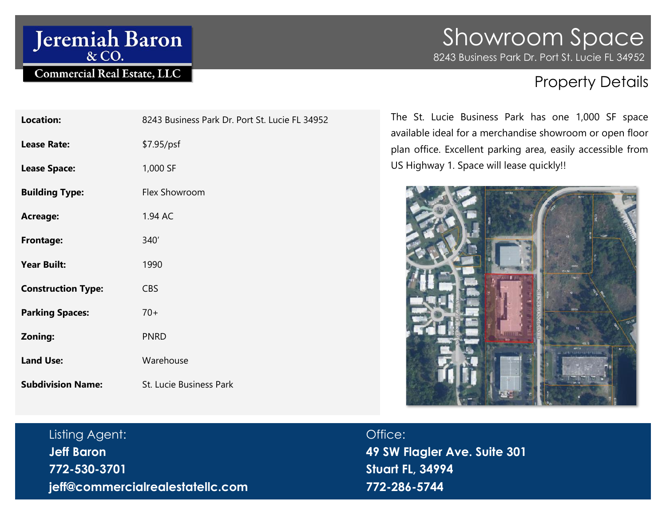# Jeremiah Baron

# Commercial Real Estate, LLC

# Showroom Space 8243 Business Park Dr. Port St. Lucie FL 34952

# Property Details

| Location:                 | 8243 Business Park Dr. Port St. Lucie FL 34952 |
|---------------------------|------------------------------------------------|
| <b>Lease Rate:</b>        | \$7.95/psf                                     |
| <b>Lease Space:</b>       | 1,000 SF                                       |
| <b>Building Type:</b>     | Flex Showroom                                  |
| <b>Acreage:</b>           | 1.94 AC                                        |
| <b>Frontage:</b>          | 340'                                           |
| <b>Year Built:</b>        | 1990                                           |
| <b>Construction Type:</b> | <b>CBS</b>                                     |
| <b>Parking Spaces:</b>    | $70+$                                          |
| Zoning:                   | <b>PNRD</b>                                    |
| <b>Land Use:</b>          | Warehouse                                      |
| <b>Subdivision Name:</b>  | St. Lucie Business Park                        |

The St. Lucie Business Park has one 1,000 SF space available ideal for a merchandise showroom or open floor plan office. Excellent parking area, easily accessible from US Highway 1. Space will lease quickly!!



# Listing Agent: **Jeff Baron 772-530-3701**

**jeff@commercialrealestatellc.com**

# Office:

**49 SW Flagler Ave. Suite 301 Stuart FL, 34994 772-286-5744**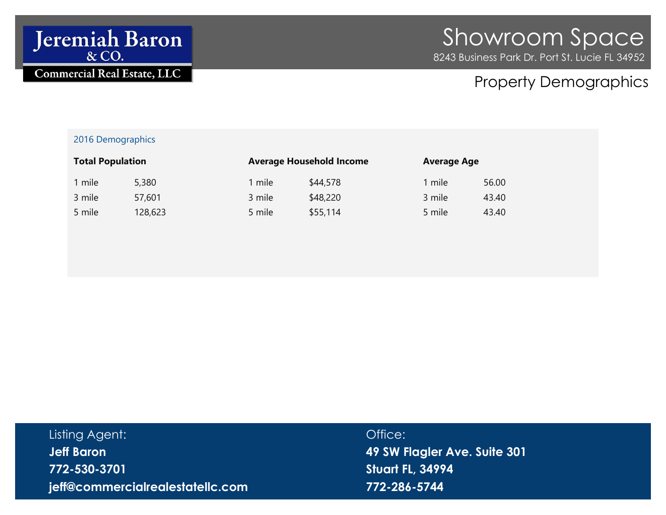

# Property Demographics

### 2016 Demographics

| <b>Total Population</b> |         | <b>Average Household Income</b> |          | <b>Average Age</b> |       |
|-------------------------|---------|---------------------------------|----------|--------------------|-------|
| 1 mile                  | 5,380   | l mile                          | \$44,578 | 1 mile             | 56.00 |
| 3 mile                  | 57,601  | 3 mile                          | \$48,220 | 3 mile             | 43.40 |
| 5 mile                  | 128,623 | 5 mile                          | \$55,114 | 5 mile             | 43.40 |

| Listing Agent:                   | Office:                      |
|----------------------------------|------------------------------|
| <b>Jeff Baron</b>                | 49 SW Flagler Ave. Suite 301 |
| 772-530-3701                     | Stuart FL, 34994             |
| jeff@commercialrealestatellc.com | 772-286-5744                 |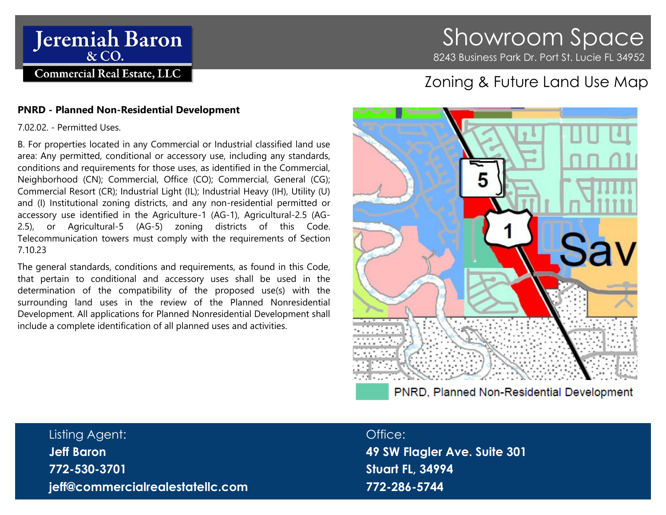

# Showroom Space 8243 Business Park Dr. Port St. Lucie FL 34952

# Zoning & Future Land Use Map

### **PNRD - Planned Non-Residential Development**

7.02.02. - Permitted Uses.

B. For properties located in any Commercial or Industrial classified land use area: Any permitted, conditional or accessory use, including any standards, conditions and requirements for those uses, as identified in the Commercial, Neighborhood (CN); Commercial, Office (CO); Commercial, General (CG); Commercial Resort (CR); Industrial Light (IL); Industrial Heavy (IH), Utility (U) and (I) Institutional zoning districts, and any non-residential permitted or accessory use identified in the Agriculture-1 (AG-1), Agricultural-2.5 (AG-2.5), or Agricultural-5 (AG-5) zoning districts of this Code. Telecommunication towers must comply with the requirements of Section [7.10.23](https://www.municode.com/library/fl/st._lucie_county/codes/land_development_code?nodeId=CHVIIDEDEIMST_7.10.00SUST_7.10.23TETOSI)

The general standards, conditions and requirements, as found in this Code, that pertain to conditional and accessory uses shall be used in the determination of the compatibility of the proposed use(s) with the surrounding land uses in the review of the Planned Nonresidential Development. All applications for Planned Nonresidential Development shall include a complete identification of all planned uses and activities.

# 5 PNRD, Planned Non-Residential Development

## Listing Agent:

**Jeff Baron 772-530-3701 jeff@commercialrealestatellc.com**

### Office:

**49 SW Flagler Ave. Suite 301 Stuart FL, 34994 772-286-5744**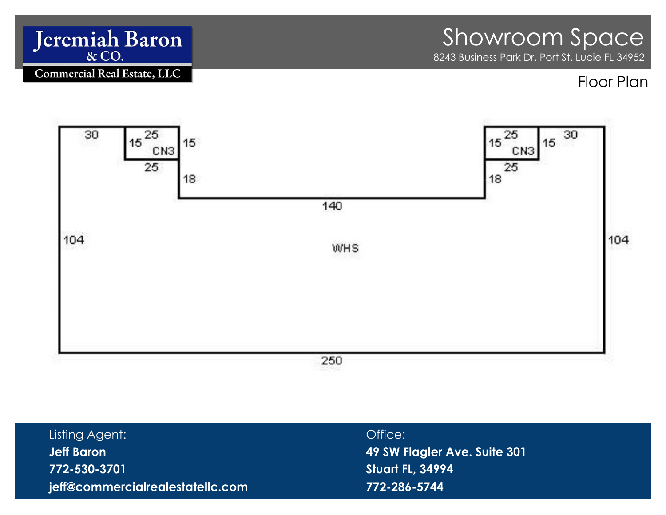

| Listing Agent:                   | Office:                      |
|----------------------------------|------------------------------|
| Jeff Baron                       | 49 SW Flagler Ave. Suite 301 |
| 772-530-3701                     | Stuart FL, 34994             |
| jeff@commercialrealestatellc.com | 772-286-5744                 |